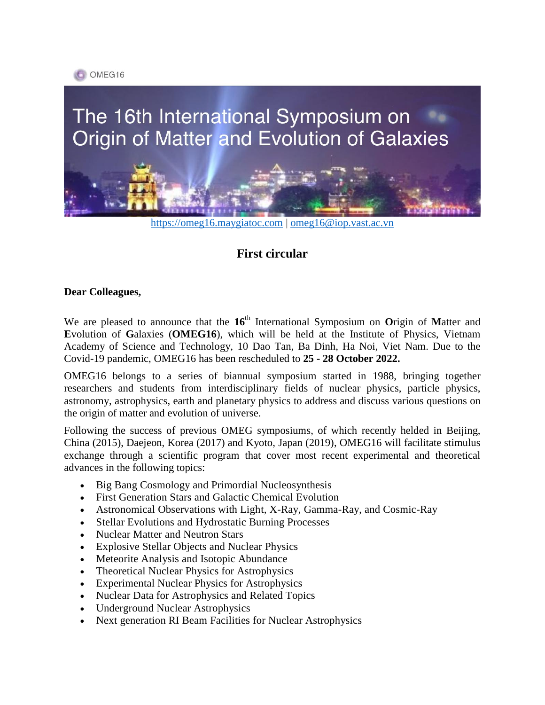

# The 16th International Symposium on Origin of Matter and Evolution of Galaxies



[https://omeg16.maygiatoc.com](https://omeg16.maygiatoc.com/) | [omeg16@iop.vast.ac.vn](mailto:omeg16@iop.vast.ac.vn)

# **First circular**

#### **Dear Colleagues,**

We are pleased to announce that the 16<sup>th</sup> International Symposium on Origin of Matter and **E**volution of **G**alaxies (**OMEG16**), which will be held at the Institute of Physics, Vietnam Academy of Science and Technology, 10 Dao Tan, Ba Dinh, Ha Noi, Viet Nam. Due to the Covid-19 pandemic, OMEG16 has been rescheduled to **25 - 28 October 2022.**

OMEG16 belongs to a series of biannual symposium started in 1988, bringing together researchers and students from interdisciplinary fields of nuclear physics, particle physics, astronomy, astrophysics, earth and planetary physics to address and discuss various questions on the origin of matter and evolution of universe.

Following the success of previous OMEG symposiums, of which recently helded in Beijing, China (2015), Daejeon, Korea (2017) and Kyoto, Japan (2019), OMEG16 will facilitate stimulus exchange through a scientific program that cover most recent experimental and theoretical advances in the following topics:

- Big Bang Cosmology and Primordial Nucleosynthesis
- First Generation Stars and Galactic Chemical Evolution
- Astronomical Observations with Light, X-Ray, Gamma-Ray, and Cosmic-Ray
- Stellar Evolutions and Hydrostatic Burning Processes
- Nuclear Matter and Neutron Stars
- Explosive Stellar Objects and Nuclear Physics
- Meteorite Analysis and Isotopic Abundance
- Theoretical Nuclear Physics for Astrophysics
- Experimental Nuclear Physics for Astrophysics
- Nuclear Data for Astrophysics and Related Topics
- Underground Nuclear Astrophysics
- Next generation RI Beam Facilities for Nuclear Astrophysics